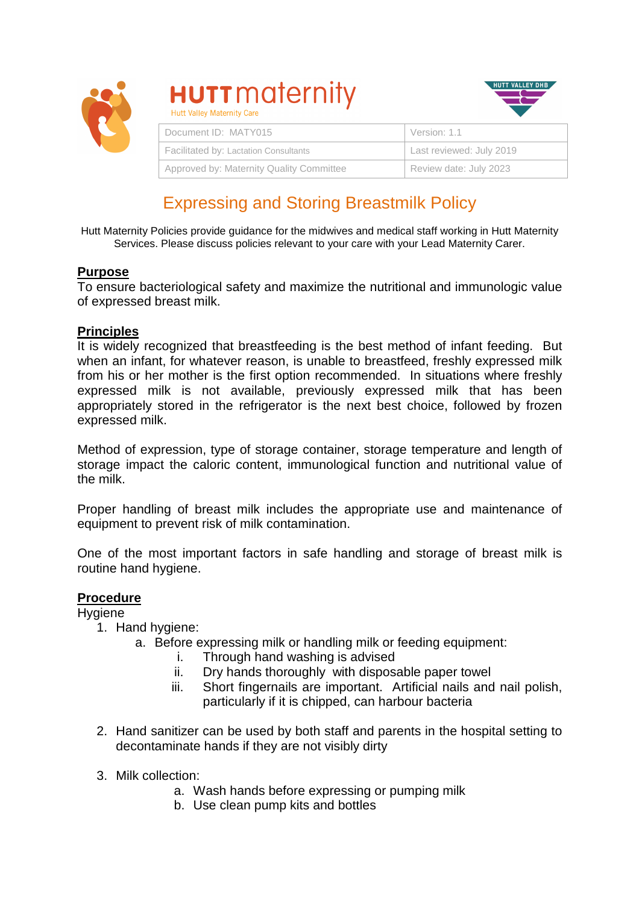

# **HUTT** maternity



| THE VALUE THREE THEY OUT                 |                          |
|------------------------------------------|--------------------------|
| Document ID: MATY015                     | Version: 1.1             |
| Facilitated by: Lactation Consultants    | Last reviewed: July 2019 |
| Approved by: Maternity Quality Committee | Review date: July 2023   |

# Expressing and Storing Breastmilk Policy

Hutt Maternity Policies provide guidance for the midwives and medical staff working in Hutt Maternity Services. Please discuss policies relevant to your care with your Lead Maternity Carer.

# **Purpose**

To ensure bacteriological safety and maximize the nutritional and immunologic value of expressed breast milk.

# **Principles**

It is widely recognized that breastfeeding is the best method of infant feeding. But when an infant, for whatever reason, is unable to breastfeed, freshly expressed milk from his or her mother is the first option recommended. In situations where freshly expressed milk is not available, previously expressed milk that has been appropriately stored in the refrigerator is the next best choice, followed by frozen expressed milk.

Method of expression, type of storage container, storage temperature and length of storage impact the caloric content, immunological function and nutritional value of the milk.

Proper handling of breast milk includes the appropriate use and maintenance of equipment to prevent risk of milk contamination.

One of the most important factors in safe handling and storage of breast milk is routine hand hygiene.

# **Procedure**

**Hygiene** 

- 1. Hand hygiene:
	- a. Before expressing milk or handling milk or feeding equipment:
		- i. Through hand washing is advised
		- ii. Dry hands thoroughly with disposable paper towel
		- iii. Short fingernails are important. Artificial nails and nail polish, particularly if it is chipped, can harbour bacteria
- 2. Hand sanitizer can be used by both staff and parents in the hospital setting to decontaminate hands if they are not visibly dirty
- 3. Milk collection:
	- a. Wash hands before expressing or pumping milk
	- b. Use clean pump kits and bottles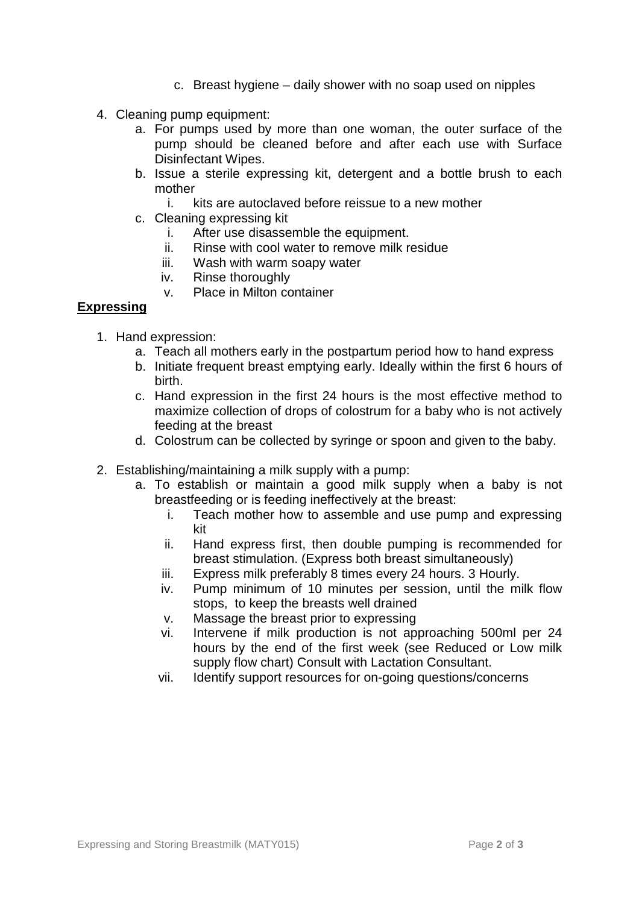- c. Breast hygiene daily shower with no soap used on nipples
- 4. Cleaning pump equipment:
	- a. For pumps used by more than one woman, the outer surface of the pump should be cleaned before and after each use with Surface Disinfectant Wipes.
	- b. Issue a sterile expressing kit, detergent and a bottle brush to each mother
		- i. kits are autoclaved before reissue to a new mother
	- c. Cleaning expressing kit
		- i. After use disassemble the equipment.
		- ii. Rinse with cool water to remove milk residue
		- iii. Wash with warm soapy water
		- iv. Rinse thoroughly
		- v. Place in Milton container

# **Expressing**

- 1. Hand expression:
	- a. Teach all mothers early in the postpartum period how to hand express
	- b. Initiate frequent breast emptying early. Ideally within the first 6 hours of birth.
	- c. Hand expression in the first 24 hours is the most effective method to maximize collection of drops of colostrum for a baby who is not actively feeding at the breast
	- d. Colostrum can be collected by syringe or spoon and given to the baby.
- 2. Establishing/maintaining a milk supply with a pump:
	- a. To establish or maintain a good milk supply when a baby is not breastfeeding or is feeding ineffectively at the breast:
		- i. Teach mother how to assemble and use pump and expressing kit
		- ii. Hand express first, then double pumping is recommended for breast stimulation. (Express both breast simultaneously)
		- iii. Express milk preferably 8 times every 24 hours. 3 Hourly.
		- iv. Pump minimum of 10 minutes per session, until the milk flow stops, to keep the breasts well drained
		- v. Massage the breast prior to expressing
		- vi. Intervene if milk production is not approaching 500ml per 24 hours by the end of the first week (see Reduced or Low milk supply flow chart) Consult with Lactation Consultant.
		- vii. Identify support resources for on-going questions/concerns